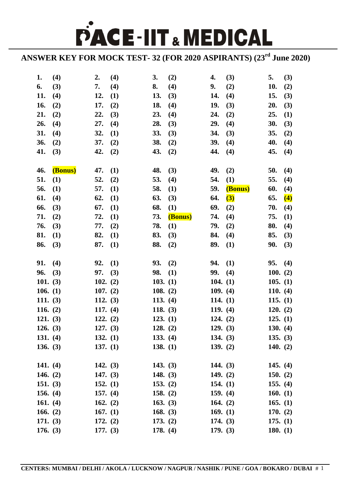**PACE-IIT & MEDICAL** 

**ANSWER KEY FOR MOCK TEST- 32 (FOR 2020 ASPIRANTS) (23rd June 2020)**

| 1.         | (4)      | 2.         | (4) | 3.         | (2)     | 4.         | (3)     | 5.         | (3)              |
|------------|----------|------------|-----|------------|---------|------------|---------|------------|------------------|
| 6.         | (3)      | 7.         | (4) | 8.         | (4)     | 9.         | (2)     | 10.        | (2)              |
| 11.        | (4)      | 12.        | (1) | 13.        | (3)     | 14.        | (4)     | 15.        | (3)              |
| 16.        | (2)      | 17.        | (2) | 18.        | (4)     | 19.        | (3)     | 20.        | (3)              |
| 21.        | (2)      | 22.        | (3) | 23.        | (4)     | 24.        | (2)     | 25.        | (1)              |
| 26.        | (4)      | 27.        | (4) | 28.        | (3)     | 29.        | (4)     | 30.        | (3)              |
| 31.        | (4)      | 32.        | (1) | 33.        | (3)     | 34.        | (3)     | 35.        | (2)              |
| 36.        | (2)      | 37.        | (2) | 38.        | (2)     | 39.        | (4)     | 40.        | (4)              |
| 41.        | (3)      | 42.        | (2) | 43.        | (2)     | 44.        | (4)     | 45.        | (4)              |
|            |          |            |     |            |         |            |         |            |                  |
| 46.        | (Bonus)  | 47.        | (1) | 48.        | (3)     | 49.        | (2)     | 50.        | (4)              |
| 51.        | (1)      | 52.        | (2) | 53.        | (4)     | 54.        | (1)     | 55.        | (4)              |
| 56.        | (1)      | 57.        | (1) | 58.        | (1)     | 59.        | (Bonus) | 60.        | (4)              |
| 61.        | (4)      | 62.        | (1) | 63.        | (3)     | 64.        | (3)     | 65.        | $\left(4\right)$ |
| 66.        | (3)      | 67.        | (1) | 68.        | (1)     | 69.        | (2)     | 70.        | (4)              |
| 71.        | (2)      | 72.        | (1) | 73.        | (Bonus) | 74.        | (4)     | 75.        | (1)              |
| 76.        | (3)      | 77.        | (2) | 78.        | (1)     | 79.        | (2)     | 80.        | (4)              |
| 81.        | $\bf(1)$ | 82.        | (1) | 83.        | (3)     | 84.        | (4)     | 85.        | (3)              |
| 86.        | (3)      | 87.        | (1) | 88.        | (2)     | 89.        | (1)     | 90.        | (3)              |
|            |          |            |     |            |         |            |         |            |                  |
| 91.        | (4)      | 92.        | (1) | 93.        | (2)     | 94.        | (1)     | 95.        | (4)              |
| 96.        | (3)      | 97.        | (3) | 98.        | (1)     | 99.        | (4)     | 100. (2)   |                  |
| 101. $(3)$ |          | 102. $(2)$ |     | 103. (1)   |         | 104. $(1)$ |         | 105. (1)   |                  |
| 106. $(1)$ |          | 107. (2)   |     | 108. $(2)$ |         | 109. (4)   |         | 110. $(4)$ |                  |
| 111. $(3)$ |          | 112. $(3)$ |     | 113. $(4)$ |         | 114. $(1)$ |         | 115. (1)   |                  |
| 116. $(2)$ |          | 117. $(4)$ |     | 118. $(3)$ |         | 119. (4)   |         | 120. (2)   |                  |
| 121. (3)   |          | 122. (2)   |     | 123. (1)   |         | 124. (2)   |         | 125. (1)   |                  |
| 126. (3)   |          | 127. (3)   |     | 128. (2)   |         | 129. (3)   |         | 130. (4)   |                  |
| 131. $(4)$ |          | 132. $(1)$ |     | 133. (4)   |         | 134. $(3)$ |         | 135. (3)   |                  |
| 136. (3)   |          | 137. $(1)$ |     | 138. (1)   |         | 139. $(2)$ |         | 140. $(2)$ |                  |
|            |          |            |     |            |         |            |         |            |                  |
| 141. $(4)$ |          | 142. $(3)$ |     | 143. $(3)$ |         | 144. $(3)$ |         | 145. $(4)$ |                  |
| 146. $(2)$ |          | 147. $(3)$ |     | 148. $(3)$ |         | 149. $(2)$ |         | 150. $(2)$ |                  |
| 151. $(3)$ |          | 152. $(1)$ |     | 153. $(2)$ |         | 154. $(1)$ |         | 155. $(4)$ |                  |
| 156. $(4)$ |          | 157. $(4)$ |     | 158. $(2)$ |         | 159. $(4)$ |         | 160. $(1)$ |                  |
| 161. $(4)$ |          | 162. $(2)$ |     | 163. $(3)$ |         | 164. $(2)$ |         | 165. $(1)$ |                  |
| 166. $(2)$ |          | 167. $(1)$ |     | 168. $(3)$ |         | 169. $(1)$ |         | 170. $(2)$ |                  |
| 171. (3)   |          | 172. (2)   |     | 173. (2)   |         | 174. $(3)$ |         | 175. (1)   |                  |
| 176. (3)   |          | 177. (3)   |     | 178. (4)   |         | 179. (3)   |         | 180. $(1)$ |                  |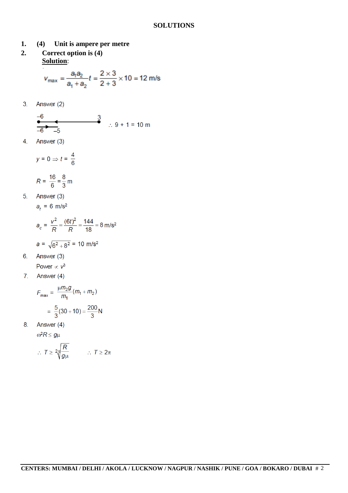- (4) Unit is ampere per metre  $1.$
- Correct option is (4)  $2.$ **Solution:**

$$
v_{\text{max}} = \frac{a_1 a_2}{a_1 + a_2} t = \frac{2 \times 3}{2 + 3} \times 10 = 12 \text{ m/s}
$$

Answer (2)  $3.$ 

$$
-6
$$
\n
$$
-6
$$
\n
$$
-5
$$
\n
$$
3
$$
\n
$$
9 + 1 = 10 \text{ m}
$$

Answer (3) 4.

$$
y=0 \Rightarrow t=\frac{4}{6}
$$

$$
R = \frac{16}{6} = \frac{8}{3} \,\mathrm{m}
$$

 $5<sub>1</sub>$ Answer (3)

$$
a_t = 6 \text{ m/s}^2
$$

$$
a_c = \frac{v^2}{R} = \frac{(6t)^2}{R} = \frac{144}{18} = 8 \text{ m/s}^2
$$

$$
a = \sqrt{6^2 + 8^2} = 10 \text{ m/s}^2
$$

- 6. Answer (3)
- Power  $\propto v^3$
- Answer (4)  $7<sub>1</sub>$

$$
F_{\text{max}} = \frac{\mu m_2 g}{m_1} (m_1 + m_2)
$$

$$
= \frac{5}{3} (30 + 10) = \frac{200}{3} N
$$

8. Answer (4)

$$
\omega^2 R \leq g\mu
$$

$$
\therefore T \geq 2\sqrt{\frac{R}{g\mu}} \qquad \therefore T \geq 2\pi
$$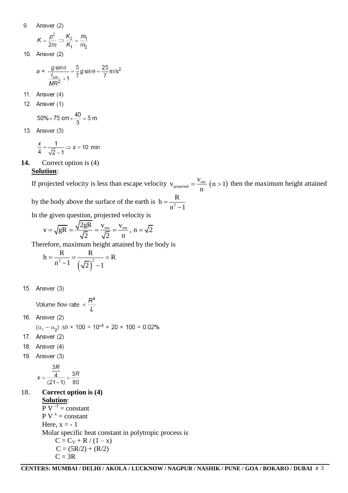9. Answer (2)

$$
K = \frac{p^2}{2m} \Rightarrow \frac{K_2}{K_1} = \frac{m_1}{m_2}
$$

10. Answer (2)

$$
a = \frac{g\sin\theta}{\frac{I_{cm}}{MR^2} + 1} = \frac{5}{7}g\sin\theta = \frac{25}{7}m/s^2
$$

- 11. Answer  $(4)$
- 12. Answer (1)

$$
50\% \times 75 \text{ cm} \times \frac{40}{3} = 5 \text{ m}
$$

13. Answer (3)

$$
\frac{x}{4} = \frac{1}{\sqrt{2}-1} \Rightarrow x = 10 \text{ min}
$$

**14.** Correct option is (4)

### **Solution**:

If projected velocity is less than escape velocity  $v_{projected} = \frac{v_{esc}}{n} (n > 1)$  $v_{\text{projected}} = \frac{v_{\text{esc}}}{\sqrt{n}} \quad (n > 1)$ n  $t = \frac{V_{\text{esc}}}{V_{\text{esc}}}(n > 1)$  then the maximum height attained by the body above the surface of the earth R

is 
$$
h = \frac{R}{n^2 - 1}
$$

In the given question, projected velocity is  
\n
$$
v = \sqrt{gR} = \frac{\sqrt{2gR}}{\sqrt{2}} = \frac{v_{esc}}{\sqrt{2}} = \frac{v_{esc}}{n}, n = \sqrt{2}
$$

Therefore, maximum height attained by the body is<br>  $h = \frac{R}{(R_1 - R_2)^2} = \frac{R}{(R_1 - R_2)^2} = R$ 

$$
h = \frac{R}{n^2 - 1} = \frac{R}{(\sqrt{2})^2 - 1} = R
$$

15. Answer (3)

Volume flow rate  $\propto \frac{R^4}{I}$ 

16. Answer (2)

 $(\alpha_1 - \alpha_2) \Delta\theta \times 100 = 10^{-5} \times 20 \times 100 = 0.02\%$ 

- 17. Answer (2)
- 18. Answer (4)
- 19. Answer (3)

$$
x = \frac{\frac{3R}{4}}{(21-1)} = \frac{3R}{80}
$$

# 18. **Correct option is (4) Solution**:

 $\overline{P} V^{-1} = constant$  $P V^x = constant$ Here,  $x = -1$ Molar specific heat constant in polytropic process is  $C = C_V + R / (1 - x)$  $C = (5R/2) + (R/2)$  $C = 3R$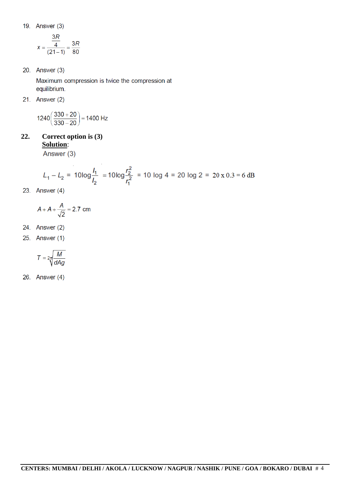19. Answer (3)

$$
x = \frac{\frac{3R}{4}}{(21-1)} = \frac{3R}{80}
$$

20. Answer (3)

Maximum compression is twice the compression at equilibrium.

21. Answer  $(2)$ 

$$
1240\bigg(\frac{330+20}{330-20}\bigg)=1400\ Hz
$$

 $22.$ Correct option is (3) **Solution:** 

Answer (3)

$$
L_1 - L_2 = 10\log\frac{I_1}{I_2} = 10\log\frac{r_2^2}{r_1^2} = 10\log 4 = 20\log 2 = 20 \times 0.3 = 6\text{ dB}
$$

23. Answer  $(4)$ 

$$
A + A + \frac{A}{\sqrt{2}} = 2.7 \text{ cm}
$$

- 24. Answer (2)
- 25. Answer (1)

$$
T = 2\pi \sqrt{\frac{M}{dAg}}
$$

26. Answer (4)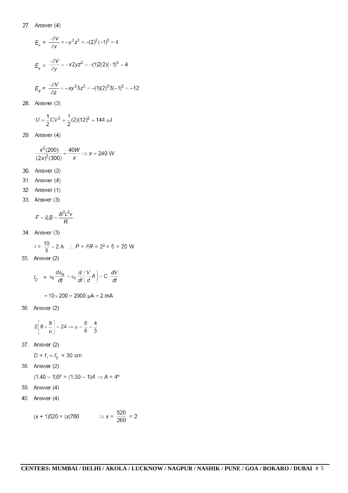#### 27. Answer  $(4)$

$$
E_x = \frac{-\partial V}{\partial x} = -y^2 z^3 = -(2)^2 (-1)^2 = 4
$$
  
\n
$$
E_y = \frac{-\partial V}{\partial y} = -x^2 y z^3 = -(1)^2 (2)(-1)^3 = 4
$$
  
\n
$$
E_z = \frac{-\partial V}{\partial z} = -xy^2 3z^2 = -(1)(2)^2 3(-1)^2 = -12
$$

28. Answer (3)

$$
U=\frac{1}{2}CV^2=\frac{1}{2}(2)(12)^2=144 \text{ }\mu\text{J}
$$

29. Answer  $(4)$ 

$$
\frac{x^2(200)}{(2x)^2(300)} = \frac{40W}{x} \Rightarrow x = 240 \text{ W}
$$

- 30. Answer (3)
- 31. Answer (4)
- 32. Answer (1)
- 33. Answer (3)

$$
F = iLB = \frac{B^2L^2v}{R}
$$

34. Answer (3)

$$
i = \frac{10}{5} = 2 \text{ A} \quad \therefore \ P = \sqrt{P}R = 2^2 \times 5 = 20 \text{ W}
$$

35. Answer (2)

$$
I_D = \varepsilon_0 \frac{d\phi_E}{dt} = \varepsilon_0 \frac{d}{dt} \left( \frac{V}{d} A \right) = C \cdot \frac{dV}{dt}
$$

$$
= 10 \times 200 = 2000 \ \mu A = 2 \ mA
$$

36. Answer (2)

$$
2\left[6+\frac{8}{\mu}\right] = 24 \Rightarrow \mu = \frac{8}{6} = \frac{4}{3}
$$

37. Answer (2)

$$
D = f_1 - f_2 = 30 \text{ cm}
$$

38. Answer (2)

$$
(1.40 - 1)5^{\circ} = (1.50 - 1)A \Rightarrow A = 4^{\circ}
$$

- 39. Answer (4)
- 40. Answer (4)

$$
(x + 1)520 = (x)780
$$
  $\Rightarrow x = \frac{520}{260} = 2$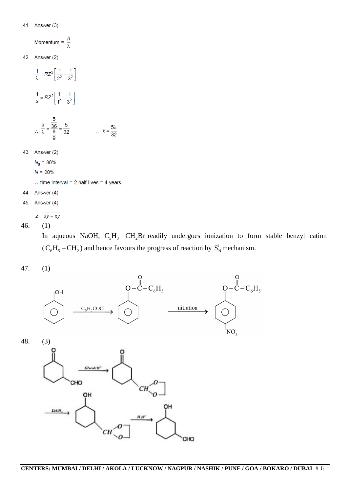#### 41. Answer (3)

Momentum =  $\frac{h}{\lambda}$ 

42. Answer (2)

$$
\frac{1}{\lambda} = RZ^2 \left[ \frac{1}{2^2} - \frac{1}{3^2} \right]
$$
  

$$
\frac{1}{x} = RZ^2 \left[ \frac{1}{4^2} - \frac{1}{3^2} \right]
$$
  

$$
\therefore \frac{x}{\lambda} = \frac{\frac{5}{36}}{\frac{8}{9}} = \frac{5}{32}
$$
  

$$
\therefore x = \frac{5\lambda}{32}
$$

43. Answer (2)

 $N_0 = 80\%$ 

 $N = 20%$ 

: time interval =  $2$  half lives =  $4$  years.

- 44. Answer (4)
- 45. Answer (4)

$$
z=\overline{\overline{x}y+x\overline{y}}
$$

46. (1)

In aqueous NaOH,  $C_5H_3 - CH_2Br$  readily undergoes ionization to form stable benzyl cation  $(C_6H_5-CH_2)$  and hence favours the progress of reaction by  $S_N^1$  mechanism.

47. (1)



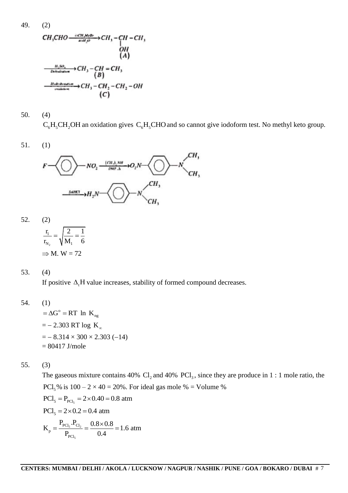49. (2)

$$
CH3CHO \xrightarrow{\text{GPT}, M \in \mathcal{B}r} CH3 - CH - CH3
$$
  
\n
$$
OH
$$
  
\n
$$
OH
$$
  
\n
$$
CH3CO4
$$
  
\n
$$
CH3 - CH = CH3
$$
  
\n
$$
CH3 - CH = CH3
$$
  
\n
$$
CH3 - CH2 - CH2 - CH2 - OH
$$
  
\n
$$
CH3 - CH2 - CH2 - OH
$$
  
\n
$$
CH3 - CH2 - CH2 - OH
$$
  
\n
$$
CH3 - CH2 - CH2 - OH
$$
  
\n
$$
CH3 - CH2 - CH2 - OH
$$

50. (4)

 $C_6H_5CH_2OH$  an oxidation gives  $C_6H_5CHO$  and so cannot give iodoform test. No methyl keto group.

51. (1)



52. (2)

$$
\frac{\mathbf{r}_1}{\mathbf{r}_{N_2}} = \sqrt{\frac{2}{M_1}} = \frac{1}{6}
$$

$$
\Rightarrow M. \ W = 72
$$

#### 53. (4)

If positive  $\Delta_t$ H value increases, stability of formed compound decreases.

54. (1)

 $=\Delta G^{\circ} = RT \ln K_{ng}$  $=-2.303$  RT log K<sub>∞</sub>  $=$   $- 8.314 \times 300 \times 2.303 (-14)$  $= 80417$  J/mole

55. (3)

The gaseous mixture contains 40%  $Cl_2$  and 40%  $\text{PCl}_3$ , since they are produce in 1 : 1 mole ratio, the PCl<sub>5</sub>% is  $100 - 2 \times 40 = 20$ %. For ideal gas mole % = Volume % 5 PCl<sub>5</sub>  $\approx$  P<sub>PCl<sub>5</sub></sub> = 2×0.40 = 0.8 atm<br>PCl<sub>5</sub> = 2×0.2 = 0.4 atm  $PCl_5 = 2 \times 0.2 = 0.4$  atm

$$
K_{p} = \frac{P_{PCl_s} . P_{Cl_2}}{P_{PCl_s}} = \frac{0.8 \times 0.8}{0.4} = 1.6 \text{ atm}
$$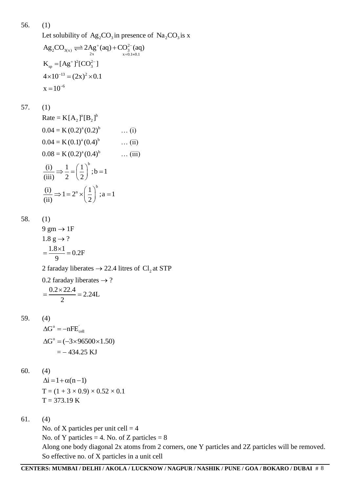56. (1) Let solubility of  $Ag_2CO_3$  in presence of  $Na_2CO_3$  is x Let solubility of  $\text{Ag}_2\text{CO}_3$  in presence<br>  $\text{Ag}_2\text{CO}_{3(x)} \rightleftharpoons 2\text{Ag}^+(aq) + \text{CO}_3^{2-}(aq)$ <br>  $\text{g}_{x+0.1}^{2-}(aq)$  $K_{sp} = [Ag^+]^2 [CO_3^{2-}]$  $=$ 

$$
K_{sp} = [Ag']^{-}[CO_{3}^{-}]
$$
  
 
$$
4 \times 10^{-13} = (2x)^{2} \times 0.1
$$
  
 
$$
x = 10^{-6}
$$

$$
57. (1)
$$

Rate = K[A<sub>2</sub>]<sup>a</sup>[B<sub>2</sub>]<sup>b</sup>  
\n0.04 = K (0.2)<sup>a</sup> (0.2)<sup>b</sup> ... (i)  
\n0.04 = K (0.1)<sup>a</sup> (0.4)<sup>b</sup> ... (ii)  
\n0.08 = K (0.2)<sup>a</sup> (0.4)<sup>b</sup> ... (iii)  
\n
$$
\frac{(i)}{(iii)} \Rightarrow \frac{1}{2} = \left(\frac{1}{2}\right)^{b}; b = 1
$$
\n
$$
\frac{(i)}{(ii)} \Rightarrow 1 = 2^{n} \times \left(\frac{1}{2}\right)^{b}; a = 1
$$

58. (1)

9 gm → 1F  
\n1.8 g → ?  
\n
$$
= \frac{1.8 \times 1}{9} = 0.2F
$$
\n2 faraday liberates → 22.4 litres of Cl<sub>2</sub> at STP  
\n0.2 faraday liberates → ?

$$
= \frac{0.2 \times 22.4}{2} = 2.24L
$$

59. (4)  
\n
$$
\Delta G^{\circ} = -nFE_{cell}^{\cdot}
$$
\n
$$
\Delta G^{\circ} = (-3 \times 96500 \times 1.50)
$$
\n
$$
= -434.25 \text{ KJ}
$$

60. (4)

$$
\Delta i = 1 + \alpha (n - 1)
$$
  
T = (1 + 3 × 0.9) × 0.52 × 0.1  
T = 373.19 K

61. (4)

No. of X particles per unit cell  $=$  4 No. of Y particles = 4. No. of Z particles =  $8$ Along one body diagonal 2x atoms from 2 corners, one Y particles and 2Z particles will be removed. So effective no. of X particles in a unit cell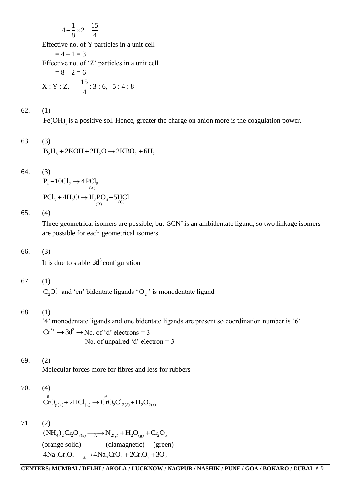$$
= 4 - \frac{1}{8} \times 2 = \frac{15}{4}
$$

Effective no. of Y particles in a unit cell

 $= 4 - 1 = 3$ 

Effective no. of "Z" particles in a unit cell

$$
= 8 - 2 = 6
$$
  
X: Y: Z,  $\frac{15}{4}$ : 3: 6, 5: 4: 8

62. (1)

 $Fe(OH)$ <sub>3</sub> is a positive sol. Hence, greater the charge on anion more is the coagulation power.

63. (3)  
\n
$$
B_2H_6 + 2KOH + 2H_2O \rightarrow 2KBO_2 + 6H_2
$$

$$
64. (3)
$$

$$
P_4 + 10Cl_2 \to 4 PCl_5
$$
  
PCl<sub>5</sub> + 4H<sub>2</sub>O  $\to$  H<sub>3</sub>PO<sub>4</sub> + 5HCl

65. (4)

Three geometrical isomers are possible, but SCN<sup>-</sup> is an ambidentate ligand, so two linkage isomers are possible for each geometrical isomers.

## 66. (3)

It is due to stable  $3d<sup>3</sup>$  configuration

# 67. (1)

 $C_2O_4^{2-}$  and 'en' bidentate ligands 'O<sub>2</sub>' is monodentate ligand

# 68. (1)

"4" monodentate ligands and one bidentate ligands are present so coordination number is "6"  $Cr^{3+} \rightarrow 3d^3 \rightarrow No.$  of 'd' electrons = 3 No. of unpaired 'd' electron  $=$  3

# 69. (2)

Molecular forces more for fibres and less for rubbers

70. (4)  
\n
$$
{}^{+6}_{CfO_{g(x)}} + 2HCl_{(g)} \rightarrow {}^{+6}_{CfO_2Cl_{2(\ell)}} + H_2O_{2(\ell)}
$$

71. (2)

 $(NH_4)_2$   $Cr_2O_{7(s)} \longrightarrow N_{2(g)} + H_2O_{(g)} + Cr_2O_5$ (orange solid) (diamagnetic) (green)  $4Na_2Cr_2O_7 \longrightarrow 4Na_2CrO_4+2Cr_2O_3+3O_2$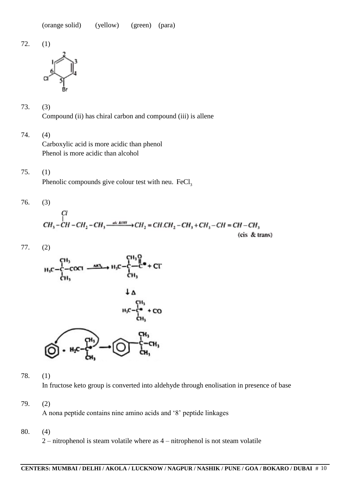72. (1)





Compound (ii) has chiral carbon and compound (iii) is allene

- 74. (4) Carboxylic acid is more acidic than phenol Phenol is more acidic than alcohol
- 75. (1)

Phenolic compounds give colour test with neu.  $\text{FeCl}_3$ 

76. (3)

$$
CH3-CH-CH2-CH3—sk. KOH (CH2=CH. CH2-CH3+CH3-CH=CH-CH3
$$

(cis & trans)

77. (2)





78. (1)

In fructose keto group is converted into aldehyde through enolisation in presence of base

79. (2)

A nona peptide contains nine amino acids and "8" peptide linkages

80. (4)

2 – nitrophenol is steam volatile where as 4 – nitrophenol is not steam volatile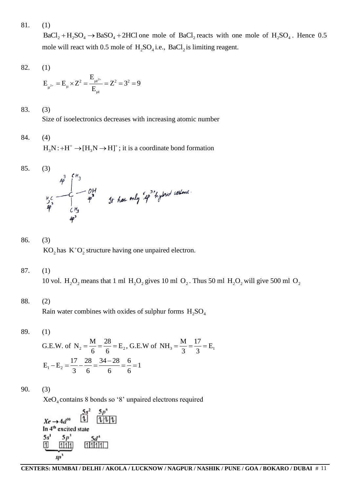81. (1)

 $BaCl<sub>2</sub> + H<sub>2</sub>SO<sub>4</sub> \rightarrow BaSO<sub>4</sub> + 2HCl$  one mole of  $BaCl<sub>2</sub>$  reacts with one mole of  $H<sub>2</sub>SO<sub>4</sub>$ . Hence 0.5 mole will react with 0.5 mole of  $H_2SO_4$  i.e.,  $BaCl_2$  is limiting reagent.

$$
82. (1)
$$

$$
E_{\mu^{2^*}} = E_{\mu} \times Z^2 = \frac{E_{\mu t^{2^*}}}{E_{\mu t}} = Z^2 = 3^2 = 9
$$

83. (3)

Size of isoelectronics decreases with increasing atomic number

84. (4)

 $H_3N: +H^+ \to [H_3N \to H]^+$ ; it is a coordinate bond formation

85. (3)  
\n
$$
49^3
$$
  
\n $49^3$   
\n $49^3$   
\n $49^3$   
\n $49^3$   
\n $49^3$   
\n $49^3$   
\n $49^3$   
\n $49^3$   
\n $49^3$   
\n $49^3$   
\n $49^3$   
\n $49^3$   
\n $49^3$   
\n $49^3$   
\n $49^3$   
\n $49^3$   
\n $49^3$   
\n $49^3$   
\n $49^3$   
\n $49^3$   
\n $49^3$   
\n $49^3$   
\n $49^3$   
\n $49^3$   
\n $49^3$   
\n $49^3$   
\n $49^3$   
\n $49^3$   
\n $49^3$   
\n $49^3$   
\n $49^3$   
\n $49^3$   
\n $49^3$   
\n $49^3$   
\n $49^3$   
\n $49^3$   
\n $49^3$   
\n $49^3$   
\n $49^3$   
\n $49^3$   
\n $49^3$   
\n $49^3$   
\n $49^3$   
\n $49^3$   
\n $49^3$   
\n $49^3$   
\n $49^3$   
\n $49^3$   
\n $49^3$   
\n $49^3$   
\n $49^3$   
\n $49^3$   
\n $49^3$   
\n $49^3$   
\n $49^3$   
\n $49^3$   
\n $49^3$   
\n

- 86. (3)  $KO<sub>2</sub>$  has  $K<sup>+</sup>O<sub>2</sub><sub>2</sub>$  structure having one unpaired electron.
- 87. (1)

10 vol.  $H_2O_2$  means that 1 ml  $H_2O_2$  gives 10 ml  $O_2$ . Thus 50 ml  $H_2O_2$  will give 500 ml  $O_2$ 

## 88. (2)

Rain water combines with oxides of sulphur forms  $H_2SO_4$ 

89. (1)

G.E.W. of N<sub>2</sub> = 
$$
\frac{M}{6} = \frac{28}{6} = E_2
$$
, G.E.W of NH<sub>3</sub> =  $\frac{M}{3} = \frac{17}{3} = E_1$   
\n $E_1 - E_2 = \frac{17}{3} - \frac{28}{6} = \frac{34 - 28}{6} = \frac{6}{6} = 1$ 

90. (3)

XeO<sup>4</sup> contains 8 bonds so "8" unpaired electrons required

$$
Xe \rightarrow 4d^{10} \qquad \qquad \boxed{1} \qquad \boxed{2p^6}
$$
  
In 4<sup>th</sup> excited state  

$$
5s^1 \qquad 5p^3 \qquad 5d^4
$$
  

$$
\boxed{1}
$$
  

$$
\boxed{1111}
$$
  

$$
\boxed{11111}
$$
  

$$
\boxed{111111}
$$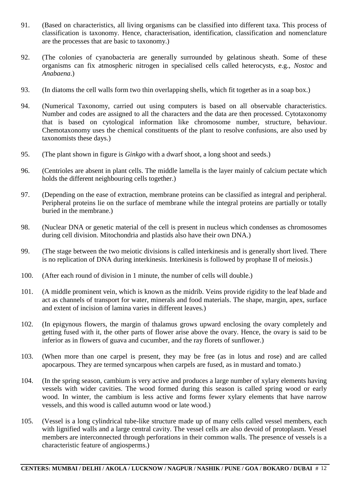- 91. (Based on characteristics, all living organisms can be classified into different taxa. This process of classification is taxonomy. Hence, characterisation, identification, classification and nomenclature are the processes that are basic to taxonomy.)
- 92. (The colonies of cyanobacteria are generally surrounded by gelatinous sheath. Some of these organisms can fix atmospheric nitrogen in specialised cells called heterocysts, e.g., *Nostoc* and *Anabaena*.)
- 93. (In diatoms the cell walls form two thin overlapping shells, which fit together as in a soap box.)
- 94. (Numerical Taxonomy, carried out using computers is based on all observable characteristics. Number and codes are assigned to all the characters and the data are then processed. Cytotaxonomy that is based on cytological information like chromosome number, structure, behaviour. Chemotaxonomy uses the chemical constituents of the plant to resolve confusions, are also used by taxonomists these days.)
- 95. (The plant shown in figure is *Ginkgo* with a dwarf shoot, a long shoot and seeds.)
- 96. (Centrioles are absent in plant cells. The middle lamella is the layer mainly of calcium pectate which holds the different neighbouring cells together.)
- 97. (Depending on the ease of extraction, membrane proteins can be classified as integral and peripheral. Peripheral proteins lie on the surface of membrane while the integral proteins are partially or totally buried in the membrane.)
- 98. (Nuclear DNA or genetic material of the cell is present in nucleus which condenses as chromosomes during cell division. Mitochondria and plastids also have their own DNA.)
- 99. (The stage between the two meiotic divisions is called interkinesis and is generally short lived. There is no replication of DNA during interkinesis. Interkinesis is followed by prophase II of meiosis.)
- 100. (After each round of division in 1 minute, the number of cells will double.)
- 101. (A middle prominent vein, which is known as the midrib. Veins provide rigidity to the leaf blade and act as channels of transport for water, minerals and food materials. The shape, margin, apex, surface and extent of incision of lamina varies in different leaves.)
- 102. (In epigynous flowers, the margin of thalamus grows upward enclosing the ovary completely and getting fused with it, the other parts of flower arise above the ovary. Hence, the ovary is said to be inferior as in flowers of guava and cucumber, and the ray florets of sunflower.)
- 103. (When more than one carpel is present, they may be free (as in lotus and rose) and are called apocarpous. They are termed syncarpous when carpels are fused, as in mustard and tomato.)
- 104. (In the spring season, cambium is very active and produces a large number of xylary elements having vessels with wider cavities. The wood formed during this season is called spring wood or early wood. In winter, the cambium is less active and forms fewer xylary elements that have narrow vessels, and this wood is called autumn wood or late wood.)
- 105. (Vessel is a long cylindrical tube-like structure made up of many cells called vessel members, each with lignified walls and a large central cavity. The vessel cells are also devoid of protoplasm. Vessel members are interconnected through perforations in their common walls. The presence of vessels is a characteristic feature of angiosperms.)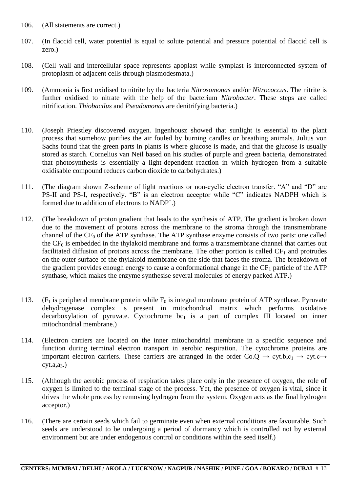- 106. (All statements are correct.)
- 107. (In flaccid cell, water potential is equal to solute potential and pressure potential of flaccid cell is zero.)
- 108. (Cell wall and intercellular space represents apoplast while symplast is interconnected system of protoplasm of adjacent cells through plasmodesmata.)
- 109. (Ammonia is first oxidised to nitrite by the bacteria *Nitrosomonas* and/or *Nitrococcus*. The nitrite is further oxidised to nitrate with the help of the bacterium *Nitrobacter*. These steps are called nitrification. *Thiobacilus* and *Pseudomonas* are denitrifying bacteria.)
- 110. (Joseph Priestley discovered oxygen. Ingenhousz showed that sunlight is essential to the plant process that somehow purifies the air fouled by burning candles or breathing animals. Julius von Sachs found that the green parts in plants is where glucose is made, and that the glucose is usually stored as starch. Cornelius van Neil based on his studies of purple and green bacteria, demonstrated that photosynthesis is essentially a light-dependent reaction in which hydrogen from a suitable oxidisable compound reduces carbon dioxide to carbohydrates.)
- 111. (The diagram shown Z-scheme of light reactions or non-cyclic electron transfer. "A" and "D" are PS-II and PS-I, respectively. "B" is an electron acceptor while "C" indicates NADPH which is formed due to addition of electrons to NADP<sup>+</sup>.)
- 112. (The breakdown of proton gradient that leads to the synthesis of ATP. The gradient is broken down due to the movement of protons across the membrane to the stroma through the transmembrane channel of the  $CF_0$  of the ATP synthase. The ATP synthase enzyme consists of two parts: one called the  $CF_0$  is embedded in the thylakoid membrane and forms a transmembrane channel that carries out facilitated diffusion of protons across the membrane. The other portion is called  $CF_1$  and protrudes on the outer surface of the thylakoid membrane on the side that faces the stroma. The breakdown of the gradient provides enough energy to cause a conformational change in the  $CF_1$  particle of the ATP synthase, which makes the enzyme synthesise several molecules of energy packed ATP.)
- 113. (F<sub>1</sub> is peripheral membrane protein while  $F_0$  is integral membrane protein of ATP synthase. Pyruvate dehydrogenase complex is present in mitochondrial matrix which performs oxidative decarboxylation of pyruvate. Cyctochrome  $bc_1$  is a part of complex III located on inner mitochondrial membrane.)
- 114. (Electron carriers are located on the inner mitochondrial membrane in a specific sequence and function during terminal electron transport in aerobic respiration. The cytochrome proteins are important electron carriers. These carriers are arranged in the order  $Co.O \rightarrow cvt.b.c<sub>1</sub> \rightarrow cvt.c \rightarrow$  $cyt.a,a_3.)$
- 115. (Although the aerobic process of respiration takes place only in the presence of oxygen, the role of oxygen is limited to the terminal stage of the process. Yet, the presence of oxygen is vital, since it drives the whole process by removing hydrogen from the system. Oxygen acts as the final hydrogen acceptor.)
- 116. (There are certain seeds which fail to germinate even when external conditions are favourable. Such seeds are understood to be undergoing a period of dormancy which is controlled not by external environment but are under endogenous control or conditions within the seed itself.)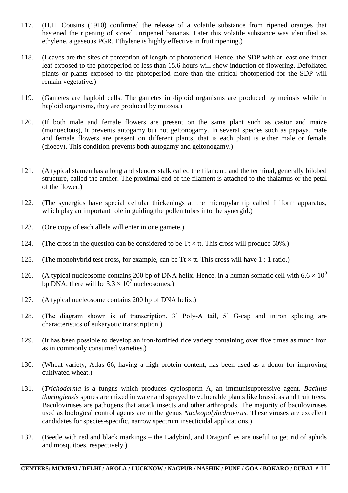- 117. (H.H. Cousins (1910) confirmed the release of a volatile substance from ripened oranges that hastened the ripening of stored unripened bananas. Later this volatile substance was identified as ethylene, a gaseous PGR. Ethylene is highly effective in fruit ripening.)
- 118. (Leaves are the sites of perception of length of photoperiod. Hence, the SDP with at least one intact leaf exposed to the photoperiod of less than 15.6 hours will show induction of flowering. Defoliated plants or plants exposed to the photoperiod more than the critical photoperiod for the SDP will remain vegetative.)
- 119. (Gametes are haploid cells. The gametes in diploid organisms are produced by meiosis while in haploid organisms, they are produced by mitosis.)
- 120. (If both male and female flowers are present on the same plant such as castor and maize (monoecious), it prevents autogamy but not geitonogamy. In several species such as papaya, male and female flowers are present on different plants, that is each plant is either male or female (dioecy). This condition prevents both autogamy and geitonogamy.)
- 121. (A typical stamen has a long and slender stalk called the filament, and the terminal, generally bilobed structure, called the anther. The proximal end of the filament is attached to the thalamus or the petal of the flower.)
- 122. (The synergids have special cellular thickenings at the micropylar tip called filiform apparatus, which play an important role in guiding the pollen tubes into the synergid.)
- 123. (One copy of each allele will enter in one gamete.)
- 124. (The cross in the question can be considered to be  $Tt \times tt$ . This cross will produce 50%.)
- 125. (The monohybrid test cross, for example, can be  $Tt \times tt$ . This cross will have 1 : 1 ratio.)
- 126. (A typical nucleosome contains 200 bp of DNA helix. Hence, in a human somatic cell with  $6.6 \times 10^9$ bp DNA, there will be  $3.3 \times 10^7$  nucleosomes.)
- 127. (A typical nucleosome contains 200 bp of DNA helix.)
- 128. (The diagram shown is of transcription. 3" Poly-A tail, 5" G-cap and intron splicing are characteristics of eukaryotic transcription.)
- 129. (It has been possible to develop an iron-fortified rice variety containing over five times as much iron as in commonly consumed varieties.)
- 130. (Wheat variety, Atlas 66, having a high protein content, has been used as a donor for improving cultivated wheat.)
- 131. (*Trichoderma* is a fungus which produces cyclosporin A, an immunisuppressive agent. *Bacillus thuringiensis* spores are mixed in water and sprayed to vulnerable plants like brassicas and fruit trees. Baculoviruses are pathogens that attack insects and other arthropods. The majority of baculoviruses used as biological control agents are in the genus *Nucleopolyhedrovirus.* These viruses are excellent candidates for species-specific, narrow spectrum insecticidal applications.)
- 132. (Beetle with red and black markings the Ladybird, and Dragonflies are useful to get rid of aphids and mosquitoes, respectively.)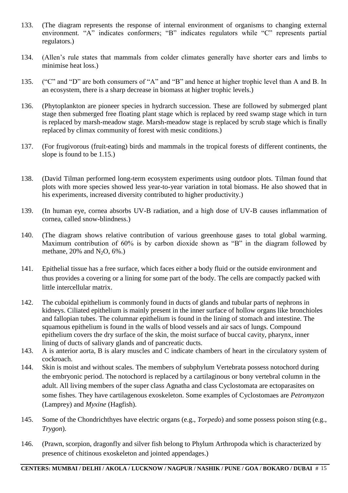- 133. (The diagram represents the response of internal environment of organisms to changing external environment. "A" indicates conformers; "B" indicates regulators while "C" represents partial regulators.)
- 134. (Allen"s rule states that mammals from colder climates generally have shorter ears and limbs to minimise heat loss.)
- 135. ("C" and "D" are both consumers of "A" and "B" and hence at higher trophic level than A and B. In an ecosystem, there is a sharp decrease in biomass at higher trophic levels.)
- 136. (Phytoplankton are pioneer species in hydrarch succession. These are followed by submerged plant stage then submerged free floating plant stage which is replaced by reed swamp stage which in turn is replaced by marsh-meadow stage. Marsh-meadow stage is replaced by scrub stage which is finally replaced by climax community of forest with mesic conditions.)
- 137. (For frugivorous (fruit-eating) birds and mammals in the tropical forests of different continents, the slope is found to be 1.15.)
- 138. (David Tilman performed long-term ecosystem experiments using outdoor plots. Tilman found that plots with more species showed less year-to-year variation in total biomass. He also showed that in his experiments, increased diversity contributed to higher productivity.)
- 139. (In human eye, cornea absorbs UV-B radiation, and a high dose of UV-B causes inflammation of cornea, called snow-blindness.)
- 140. (The diagram shows relative contribution of various greenhouse gases to total global warming. Maximum contribution of 60% is by carbon dioxide shown as "B" in the diagram followed by methane,  $20\%$  and  $N_2O$ ,  $6\%$ .)
- 141. Epithelial tissue has a free surface, which faces either a body fluid or the outside environment and thus provides a covering or a lining for some part of the body. The cells are compactly packed with little intercellular matrix.
- 142. The cuboidal epithelium is commonly found in ducts of glands and tubular parts of nephrons in kidneys. Ciliated epithelium is mainly present in the inner surface of hollow organs like bronchioles and fallopian tubes. The columnar epithelium is found in the lining of stomach and intestine. The squamous epithelium is found in the walls of blood vessels and air sacs of lungs. Compound epithelium covers the dry surface of the skin, the moist surface of buccal cavity, pharynx, inner lining of ducts of salivary glands and of pancreatic ducts.
- 143. A is anterior aorta, B is alary muscles and C indicate chambers of heart in the circulatory system of cockroach.
- 144. Skin is moist and without scales. The members of subphylum Vertebrata possess notochord during the embryonic period. The notochord is replaced by a cartilaginous or bony vertebral column in the adult. All living members of the super class Agnatha and class Cyclostomata are ectoparasites on some fishes. They have cartilagenous exoskeleton. Some examples of Cyclostomaes are *Petromyzon*  (Lamprey) and *Myxine* (Hagfish).
- 145. Some of the Chondrichthyes have electric organs (e.g., *Torpedo*) and some possess poison sting (e.g., *Trygon*).
- 146. (Prawn, scorpion, dragonfly and silver fish belong to Phylum Arthropoda which is characterized by presence of chitinous exoskeleton and jointed appendages.)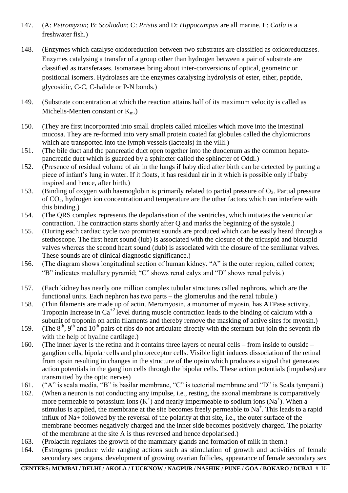- 147. (A: *Petromyzon*; B: *Scoliodon*; C: *Pristis* and D: *Hippocampus* are all marine. E: *Catla* is a freshwater fish.)
- 148. (Enzymes which catalyse oxidoreduction between two substrates are classified as oxidoreductases. Enzymes catalysing a transfer of a group other than hydrogen between a pair of substrate are classified as transferases. Isomarases bring about inter-conversions of optical, geometric or positional isomers. Hydrolases are the enzymes catalysing hydrolysis of ester, ether, peptide, glycosidic, C-C, C-halide or P-N bonds.)
- 149. (Substrate concentration at which the reaction attains half of its maximum velocity is called as Michelis-Menten constant or  $K_{m}$ .)
- 150. (They are first incorporated into small droplets called micelles which move into the intestinal mucosa. They are re-formed into very small protein coated fat globules called the chylomicrons which are transported into the lymph vessels (lacteals) in the villi.)
- 151. (The bile duct and the pancreatic duct open together into the duodenum as the common hepatopancreatic duct which is guarded by a sphincter called the sphincter of Oddi.)
- 152. (Presence of residual volume of air in the lungs if baby died after birth can be detected by putting a piece of infant"s lung in water. If it floats, it has residual air in it which is possible only if baby inspired and hence, after birth.)
- 153. (Binding of oxygen with haemoglobin is primarily related to partial pressure of  $O_2$ . Partial pressure of CO2, hydrogen ion concentration and temperature are the other factors which can interfere with this binding.)
- 154. (The QRS complex represents the depolarisation of the ventricles, which initiates the ventricular contraction. The contraction starts shortly after Q and marks the beginning of the systole.)
- 155. (During each cardiac cycle two prominent sounds are produced which can be easily heard through a stethoscope. The first heart sound (lub) is associated with the closure of the tricuspid and bicuspid valves whereas the second heart sound (dub) is associated with the closure of the semilunar valves. These sounds are of clinical diagnostic significance.)
- 156. (The diagram shows longitudinal section of human kidney. "A" is the outer region, called cortex; "B" indicates medullary pyramid; "C" shows renal calyx and "D" shows renal pelvis.)
- 157. (Each kidney has nearly one million complex tubular structures called nephrons, which are the functional units. Each nephron has two parts – the glomerulus and the renal tubule.)
- 158. (Thin filaments are made up of actin. Meromyosin, a monomer of myosin, has ATPase activity. Troponin Increase in  $Ca^{+2}$  level during muscle contraction leads to the binding of calcium with a subunit of troponin on actin filaments and thereby remove the masking of active sites for myosin.)
- 159. (The  $8<sup>th</sup>$ , 9<sup>th</sup> and 10<sup>th</sup> pairs of ribs do not articulate directly with the sternum but join the seventh rib with the help of hyaline cartilage.)
- 160. (The inner layer is the retina and it contains three layers of neural cells from inside to outside ganglion cells, bipolar cells and photoreceptor cells. Visible light induces dissociation of the retinal from opsin resulting in changes in the structure of the opsin which produces a signal that generates action potentials in the ganglion cells through the bipolar cells. These action potentials (impulses) are transmitted by the optic nerves)
- 161. ("A" is scala media, "B" is basilar membrane, "C" is tectorial membrane and "D" is Scala tympani.)
- 162. (When a neuron is not conducting any impulse, i.e., resting, the axonal membrane is comparatively more permeable to potassium ions  $(K^+)$  and nearly impermeable to sodium ions  $(Na^+)$ . When a stimulus is applied, the membrane at the site becomes freely permeable to  $Na<sup>+</sup>$ . This leads to a rapid influx of Na+ followed by the reversal of the polarity at that site, i.e., the outer surface of the membrane becomes negatively charged and the inner side becomes positively charged. The polarity of the membrane at the site A is thus reversed and hence depolarised.)
- 163. (Prolactin regulates the growth of the mammary glands and formation of milk in them.)
- 164. (Estrogens produce wide ranging actions such as stimulation of growth and activities of female secondary sex organs, development of growing ovarian follicles, appearance of female secondary sex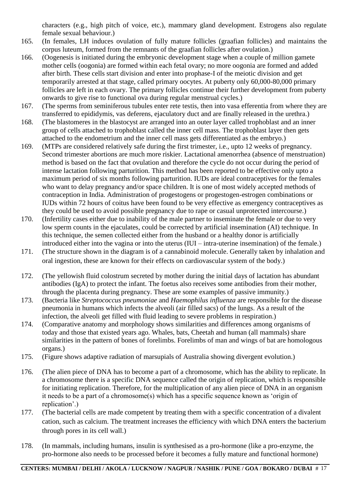characters (e.g., high pitch of voice, etc.), mammary gland development. Estrogens also regulate female sexual behaviour.)

- 165. (In females, LH induces ovulation of fully mature follicles (graafian follicles) and maintains the corpus luteum, formed from the remnants of the graafian follicles after ovulation.)
- 166. (Oogenesis is initiated during the embryonic development stage when a couple of million gamete mother cells (oogonia) are formed within each fetal ovary; no more oogonia are formed and added after birth. These cells start division and enter into prophase-I of the meiotic division and get temporarily arrested at that stage, called primary oocytes. At puberty only 60,000-80,000 primary follicles are left in each ovary. The primary follicles continue their further development from puberty onwards to give rise to functional ova during regular menstrual cycles.)
- 167. (The sperms from seminiferous tubules enter rete testis, then into vasa efferentia from where they are transferred to epididymis, vas deferens, ejaculatory duct and are finally released in the urethra.)
- 168. (The blastomeres in the blastocyst are arranged into an outer layer called trophoblast and an inner group of cells attached to trophoblast called the inner cell mass. The trophoblast layer then gets attached to the endometrium and the inner cell mass gets differentiated as the embryo.)
- 169. (MTPs are considered relatively safe during the first trimester, i.e., upto 12 weeks of pregnancy. Second trimester abortions are much more riskier. Lactational amenorrhea (absence of menstruation) method is based on the fact that ovulation and therefore the cycle do not occur during the period of intense lactation following parturition. This method has been reported to be effective only upto a maximum period of six months following parturition. IUDs are ideal contraceptives for the females who want to delay pregnancy and/or space children. It is one of most widely accepted methods of contraception in India. Administration of progestogens or progestogen-estrogen combinations or IUDs within 72 hours of coitus have been found to be very effective as emergency contraceptives as they could be used to avoid possible pregnancy due to rape or casual unprotected intercourse.)
- 170. (Infertility cases either due to inability of the male partner to inseminate the female or due to very low sperm counts in the ejaculates, could be corrected by artificial insemination (AI) technique. In this technique, the semen collected either from the husband or a healthy donor is artificially introduced either into the vagina or into the uterus (IUI – intra-uterine insemination) of the female.)
- 171. (The structure shown in the diagram is of a cannabinoid molecule. Generally taken by inhalation and oral ingestion, these are known for their effects on cardiovascular system of the body.)
- 172. (The yellowish fluid colostrum secreted by mother during the initial days of lactation has abundant antibodies (IgA) to protect the infant. The foetus also receives some antibodies from their mother, through the placenta during pregnancy. These are some examples of passive immunity.)
- 173. (Bacteria like *Streptococcus pneumoniae* and *Haemophilus influenza* are responsible for the disease pneumonia in humans which infects the alveoli (air filled sacs) of the lungs. As a result of the infection, the alveoli get filled with fluid leading to severe problems in respiration.)
- 174. (Comparative anatomy and morphology shows similarities and differences among organisms of today and those that existed years ago. Whales, bats, Cheetah and human (all mammals) share similarities in the pattern of bones of forelimbs. Forelimbs of man and wings of bat are homologous organs.)
- 175. (Figure shows adaptive radiation of marsupials of Australia showing divergent evolution.)
- 176. (The alien piece of DNA has to become a part of a chromosome, which has the ability to replicate. In a chromosome there is a specific DNA sequence called the origin of replication, which is responsible for initiating replication. Therefore, for the multiplication of any alien piece of DNA in an organism it needs to be a part of a chromosome(s) which has a specific sequence known as "origin of replication".)
- 177. (The bacterial cells are made competent by treating them with a specific concentration of a divalent cation, such as calcium. The treatment increases the efficiency with which DNA enters the bacterium through pores in its cell wall.)
- 178. (In mammals, including humans, insulin is synthesised as a pro-hormone (like a pro-enzyme, the pro-hormone also needs to be processed before it becomes a fully mature and functional hormone)